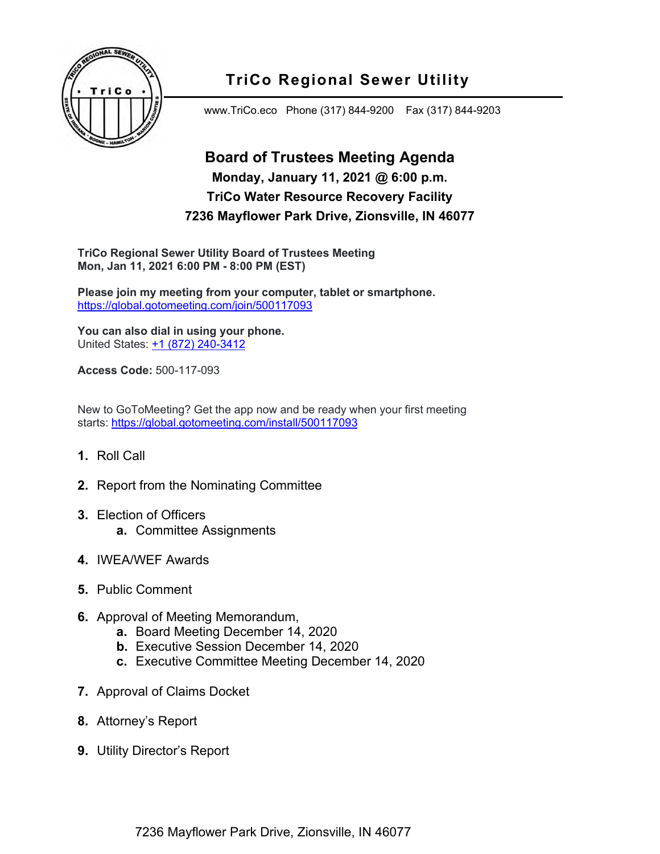

## **TriCo Regional Sewer Utility**

www.TriCo.eco Phone (317) 844-9200 Fax (317) 844-9203

## **Board of Trustees Meeting Agenda Monday, January 11, 2021 @ 6:00 p.m. TriCo Water Resource Recovery Facility 7236 Mayflower Park Drive, Zionsville, IN 46077**

**TriCo Regional Sewer Utility Board of Trustees Meeting Mon, Jan 11, 2021 6:00 PM - 8:00 PM (EST)**

**Please join my meeting from your computer, tablet or smartphone.** <https://global.gotomeeting.com/join/500117093>

**You can also dial in using your phone.** United States: [+1 \(872\) 240-3412](tel:+18722403412,,500117093)

**Access Code:** 500-117-093

New to GoToMeeting? Get the app now and be ready when your first meeting starts: <https://global.gotomeeting.com/install/500117093>

- **1.** Roll Call
- **2.** Report from the Nominating Committee
- **3.** Election of Officers **a.** Committee Assignments
- **4.** IWEA/WEF Awards
- **5.** Public Comment
- **6.** Approval of Meeting Memorandum,
	- **a.** Board Meeting December 14, 2020
	- **b.** Executive Session December 14, 2020
	- **c.** Executive Committee Meeting December 14, 2020
- **7.** Approval of Claims Docket
- **8.** Attorney's Report
- **9.** Utility Director's Report